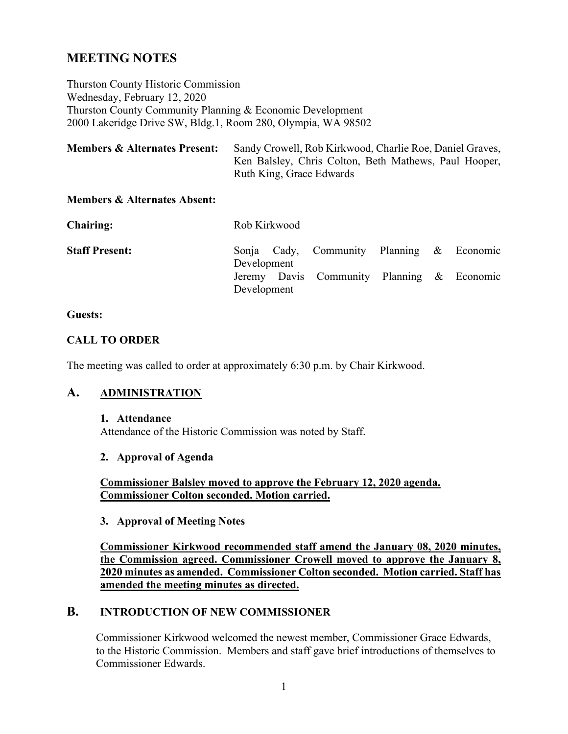# **MEETING NOTES**

Thurston County Historic Commission Wednesday, February 12, 2020 Thurston County Community Planning & Economic Development 2000 Lakeridge Drive SW, Bldg.1, Room 280, Olympia, WA 98502

| <b>Members &amp; Alternates Present:</b> | Sandy Crowell, Rob Kirkwood, Charlie Roe, Daniel Graves, |  |  |  |  |  |
|------------------------------------------|----------------------------------------------------------|--|--|--|--|--|
|                                          | Ken Balsley, Chris Colton, Beth Mathews, Paul Hooper,    |  |  |  |  |  |
|                                          | Ruth King, Grace Edwards                                 |  |  |  |  |  |

### **Members & Alternates Absent:**

| <b>Chairing:</b>      | Rob Kirkwood |  |                                            |  |  |  |  |  |
|-----------------------|--------------|--|--------------------------------------------|--|--|--|--|--|
| <b>Staff Present:</b> | Development  |  | Sonja Cady, Community Planning & Economic  |  |  |  |  |  |
|                       | Development  |  | Jeremy Davis Community Planning & Economic |  |  |  |  |  |

#### **Guests:**

#### **CALL TO ORDER**

The meeting was called to order at approximately 6:30 p.m. by Chair Kirkwood.

### **A. ADMINISTRATION**

#### **1. Attendance**

Attendance of the Historic Commission was noted by Staff.

### **2. Approval of Agenda**

**Commissioner Balsley moved to approve the February 12, 2020 agenda. Commissioner Colton seconded. Motion carried.**

#### **3. Approval of Meeting Notes**

**Commissioner Kirkwood recommended staff amend the January 08, 2020 minutes, the Commission agreed. Commissioner Crowell moved to approve the January 8, 2020 minutes as amended. Commissioner Colton seconded. Motion carried. Staff has amended the meeting minutes as directed.**

# **B. INTRODUCTION OF NEW COMMISSIONER**

Commissioner Kirkwood welcomed the newest member, Commissioner Grace Edwards, to the Historic Commission. Members and staff gave brief introductions of themselves to Commissioner Edwards.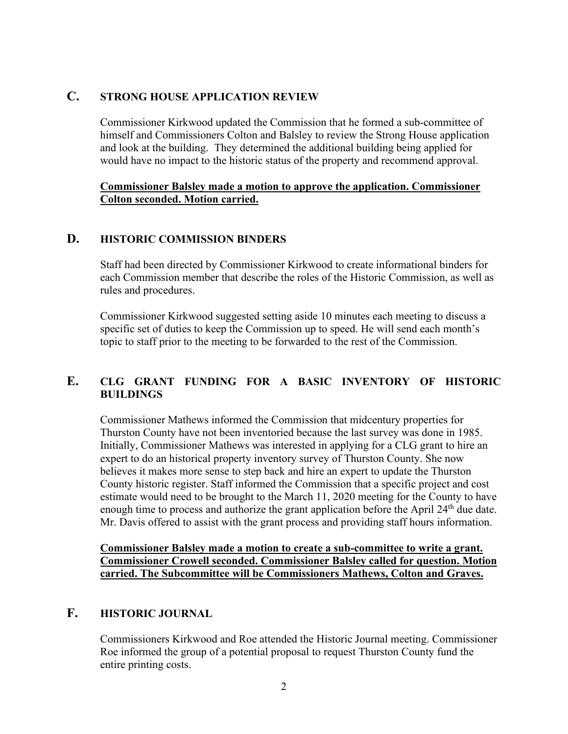### **C. STRONG HOUSE APPLICATION REVIEW**

Commissioner Kirkwood updated the Commission that he formed a sub-committee of himself and Commissioners Colton and Balsley to review the Strong House application and look at the building. They determined the additional building being applied for would have no impact to the historic status of the property and recommend approval.

### **Commissioner Balsley made a motion to approve the application. Commissioner Colton seconded. Motion carried.**

### **D. HISTORIC COMMISSION BINDERS**

Staff had been directed by Commissioner Kirkwood to create informational binders for each Commission member that describe the roles of the Historic Commission, as well as rules and procedures.

Commissioner Kirkwood suggested setting aside 10 minutes each meeting to discuss a specific set of duties to keep the Commission up to speed. He will send each month's topic to staff prior to the meeting to be forwarded to the rest of the Commission.

# **E. CLG GRANT FUNDING FOR A BASIC INVENTORY OF HISTORIC BUILDINGS**

Commissioner Mathews informed the Commission that midcentury properties for Thurston County have not been inventoried because the last survey was done in 1985. Initially, Commissioner Mathews was interested in applying for a CLG grant to hire an expert to do an historical property inventory survey of Thurston County. She now believes it makes more sense to step back and hire an expert to update the Thurston County historic register. Staff informed the Commission that a specific project and cost estimate would need to be brought to the March 11, 2020 meeting for the County to have enough time to process and authorize the grant application before the April 24<sup>th</sup> due date. Mr. Davis offered to assist with the grant process and providing staff hours information.

**Commissioner Balsley made a motion to create a sub-committee to write a grant. Commissioner Crowell seconded. Commissioner Balsley called for question. Motion carried. The Subcommittee will be Commissioners Mathews, Colton and Graves.**

# **F. HISTORIC JOURNAL**

Commissioners Kirkwood and Roe attended the Historic Journal meeting. Commissioner Roe informed the group of a potential proposal to request Thurston County fund the entire printing costs.